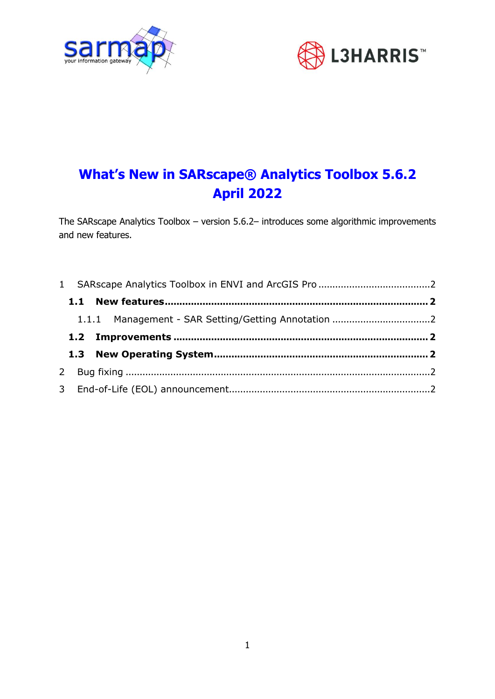



# **What's New in SARscape® Analytics Toolbox 5.6.2 April 2022**

The SARscape Analytics Toolbox – version 5.6.2– introduces some algorithmic improvements and new features.